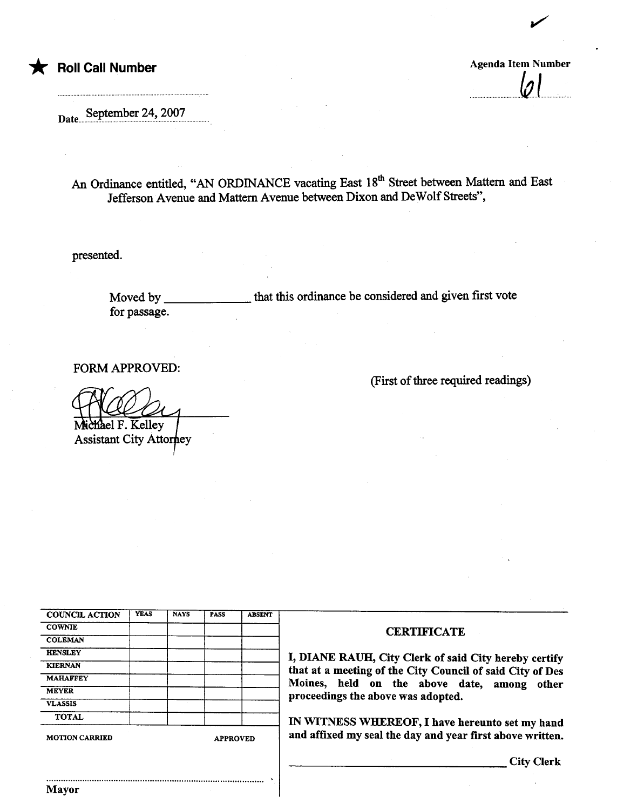\* Roll Call Number Agenda Item Number Agenda Item Number

.  $\mathsf{v}$  i

~

Date....September 24, 2007

An Ordinance entitled, "AN ORDINANCE vacating East 18<sup>th</sup> Street between Mattern and East Jefferson Avenue and Mattern Avenue between Dixon and De Wolf Streets",

presented.

Moved by for passage. that this ordinance be considered and given first vote

FORM APPROVED:

ael F. Kelley

Assistant City Attorney

| (First of three required readings) |  |  |
|------------------------------------|--|--|
|------------------------------------|--|--|

| <b>COUNCIL ACTION</b> | <b>YEAS</b> | <b>NAYS</b> | <b>PASS</b>     | <b>ABSENT</b> |
|-----------------------|-------------|-------------|-----------------|---------------|
| <b>COWNIE</b>         |             |             |                 |               |
| <b>COLEMAN</b>        |             |             |                 |               |
| <b>HENSLEY</b>        |             |             |                 |               |
| <b>KIERNAN</b>        |             |             |                 |               |
| <b>MAHAFFEY</b>       |             |             |                 |               |
| <b>MEYER</b>          |             |             |                 |               |
| <b>VLASSIS</b>        |             |             |                 |               |
| <b>TOTAL</b>          |             |             |                 |               |
| <b>MOTION CARRIED</b> |             |             | <b>APPROVED</b> |               |

..........................................................................................

Mayor

## **CERTIFICATE**

I, DIANE RAUH, City Clerk of said City hereby certify that at a meeting of the City Council of said City of Des Moines, held on the above date, among other proceedings the above was adopted.

IN WITNESS WHEREOF, I have hereunto set my hand and affixed my seal the day and year first above written.

City Clerk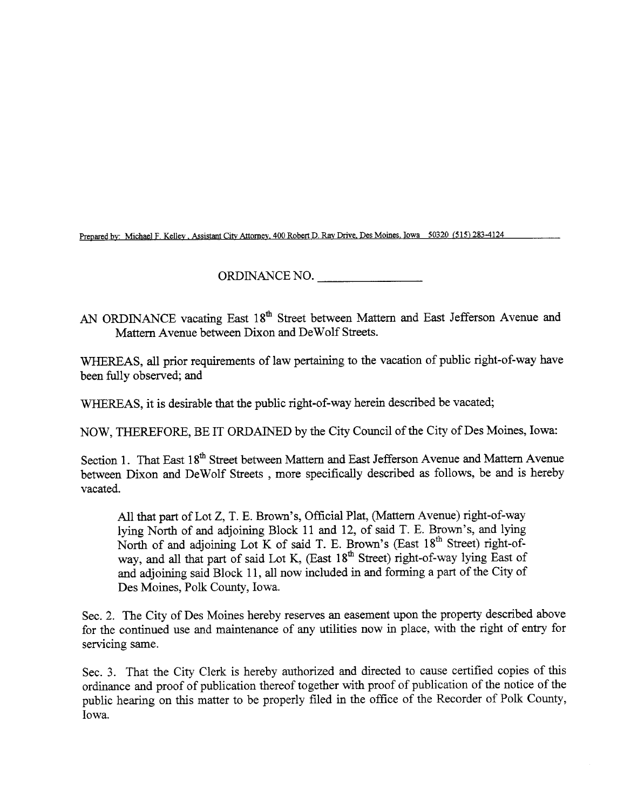Prepared by: Michael F. Kelley, Assistant City Attorney, 400 Robert D. Ray Drive, Des Moines, Iowa 50320 (515) 283-4124

ORDINANCE NO.

AN ORDINANCE vacating East 18<sup>th</sup> Street between Mattern and East Jefferson Avenue and Mattern Avenue between Dixon and DeWolf Streets.

WHEREAS, all prior requirements of law pertaining to the vacation of public right-of-way have been fuly observed; and

WHEREAS, it is desirable that the public right-of-way herein described be vacated;

NOW, THEREFORE, BE IT ORDAINED by the City Council of the City of Des Moines, Iowa:

Section 1. That East 18<sup>th</sup> Street between Mattern and East Jefferson Avenue and Mattern Avenue between Dixon and DeWolf Streets , more specifically described as follows, be and is hereby vacated.

All that part of Lot Z, T. E. Brown's, Official Plat, (Mattern Avenue) right-of-way lying North of and adjoining Block 11 and 12, of said T. E. Brown's, and lying North of and adjoining Lot K of said T. E. Brown's (East 18<sup>th</sup> Street) right-ofway, and all that part of said Lot K, (East  $18<sup>th</sup>$  Street) right-of-way lying East of and adjoining said Block 11, all now included in and forming a part of the City of Des Moines, Polk County, Iowa.

Sec. 2. The City of Des Moines hereby reserves an easement upon the property described above for the continued use and maintenance of any utilities now in place, with the right of entry for servicing same.

Sec. 3. That the City Clerk is hereby authorized and directed to cause certified copies of this ordinance and proof of publication thereof together with proof of publication of the notice of the public hearing on this matter to be properly filed in the office of the Recorder of Polk County, Iowa.